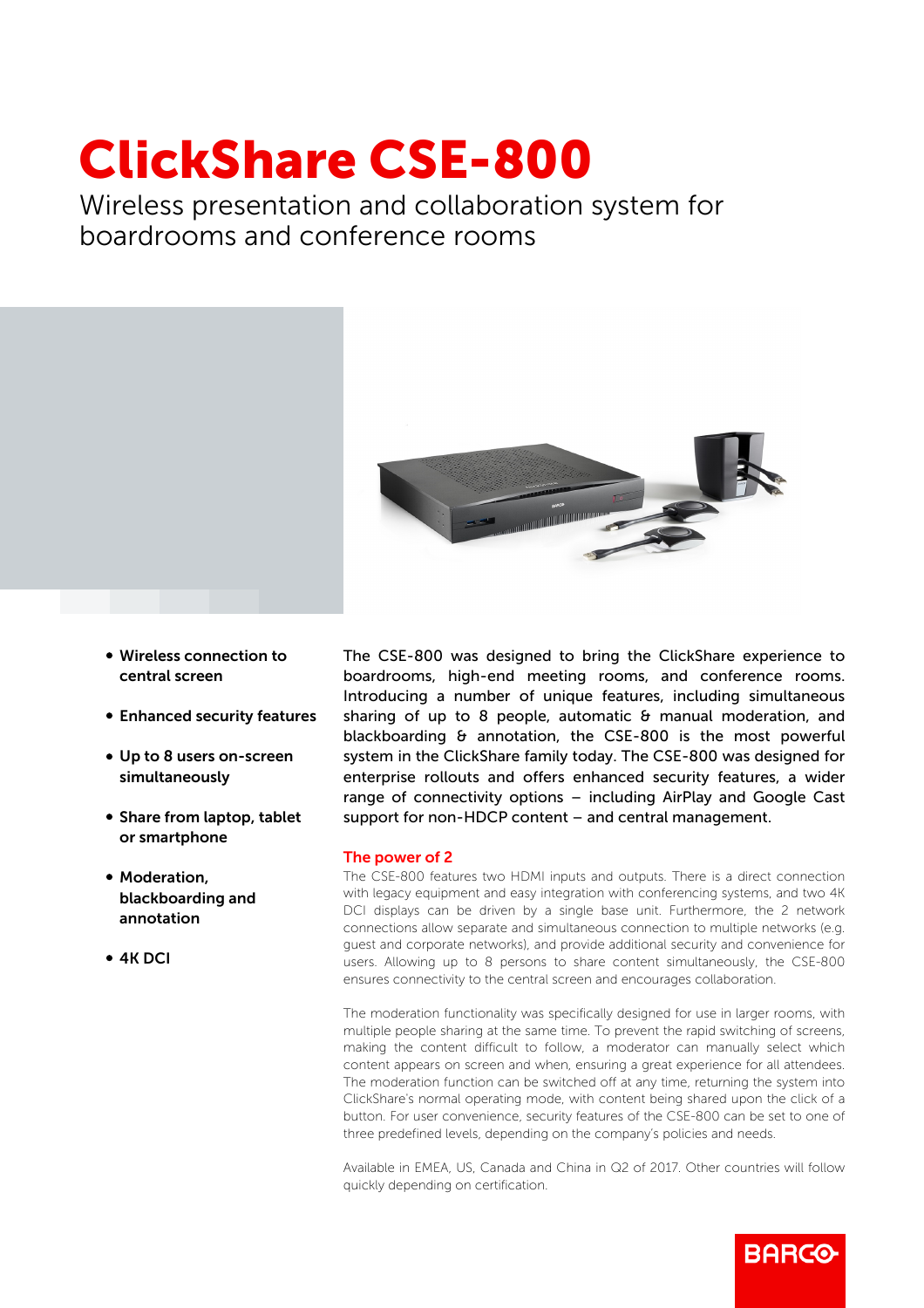## ClickShare CSE-800

Wireless presentation and collaboration system for boardrooms and conference rooms



- Wireless connection to central screen
- Enhanced security features
- Up to 8 users on-screen simultaneously
- Share from laptop, tablet or smartphone
- Moderation, blackboarding and annotation
- b 4K DCI

The CSE-800 was designed to bring the ClickShare experience to boardrooms, high-end meeting rooms, and conference rooms. Introducing a number of unique features, including simultaneous sharing of up to 8 people, automatic & manual moderation, and blackboarding & annotation, the CSE-800 is the most powerful system in the ClickShare family today. The CSE-800 was designed for enterprise rollouts and offers enhanced security features, a wider range of connectivity options – including AirPlay and Google Cast support for non-HDCP content – and central management.

## The power of 2

The CSE-800 features two HDMI inputs and outputs. There is a direct connection with legacy equipment and easy integration with conferencing systems, and two 4K DCI displays can be driven by a single base unit. Furthermore, the 2 network connections allow separate and simultaneous connection to multiple networks (e.g. guest and corporate networks), and provide additional security and convenience for users. Allowing up to 8 persons to share content simultaneously, the CSE-800 ensures connectivity to the central screen and encourages collaboration.

The moderation functionality was specifically designed for use in larger rooms, with multiple people sharing at the same time. To prevent the rapid switching of screens, making the content difficult to follow, a moderator can manually select which content appears on screen and when, ensuring a great experience for all attendees. The moderation function can be switched off at any time, returning the system into ClickShare's normal operating mode, with content being shared upon the click of a button. For user convenience, security features of the CSE-800 can be set to one of three predefined levels, depending on the company's policies and needs.

Available in EMEA, US, Canada and China in Q2 of 2017. Other countries will follow quickly depending on certification.

**RARGO**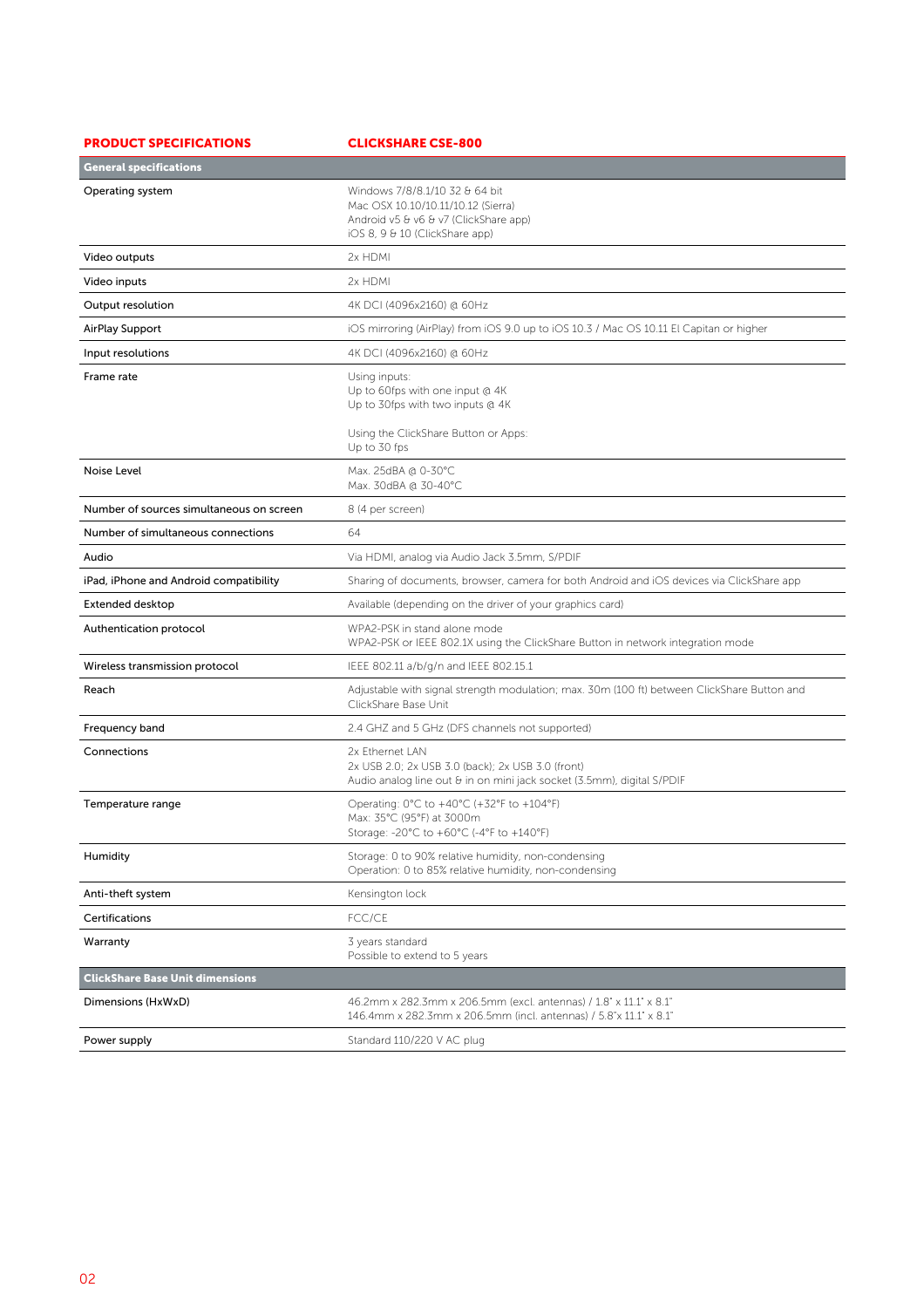| <b>General specifications</b>                                                                                                                                       |                                                                                                                                        |
|---------------------------------------------------------------------------------------------------------------------------------------------------------------------|----------------------------------------------------------------------------------------------------------------------------------------|
| Windows 7/8/8.1/10 32 & 64 bit<br>Operating system<br>Mac OSX 10.10/10.11/10.12 (Sierra)<br>Android v5 & v6 & v7 (ClickShare app)<br>iOS 8, 9 & 10 (ClickShare app) |                                                                                                                                        |
| Video outputs<br>2x HDMI                                                                                                                                            |                                                                                                                                        |
| 2x HDMI<br>Video inputs                                                                                                                                             |                                                                                                                                        |
| 4K DCI (4096x2160) @ 60Hz<br>Output resolution                                                                                                                      |                                                                                                                                        |
| AirPlay Support                                                                                                                                                     | iOS mirroring (AirPlay) from iOS 9.0 up to iOS 10.3 / Mac OS 10.11 El Capitan or higher                                                |
| 4K DCI (4096x2160) @ 60Hz<br>Input resolutions                                                                                                                      |                                                                                                                                        |
| Frame rate<br>Using inputs:<br>Up to 60fps with one input @ 4K<br>Up to 30fps with two inputs @ 4K<br>Using the ClickShare Button or Apps:<br>Up to 30 fps          |                                                                                                                                        |
| Noise Level<br>Max. 25dBA @ 0-30°C<br>Max. 30dBA @ 30-40°C                                                                                                          |                                                                                                                                        |
| Number of sources simultaneous on screen<br>8 (4 per screen)                                                                                                        |                                                                                                                                        |
| 64<br>Number of simultaneous connections                                                                                                                            |                                                                                                                                        |
| Via HDMI, analog via Audio Jack 3.5mm, S/PDIF<br>Audio                                                                                                              |                                                                                                                                        |
| iPad, iPhone and Android compatibility                                                                                                                              | Sharing of documents, browser, camera for both Android and iOS devices via ClickShare app                                              |
| <b>Extended desktop</b>                                                                                                                                             | Available (depending on the driver of your graphics card)                                                                              |
| WPA2-PSK in stand alone mode<br>Authentication protocol                                                                                                             | WPA2-PSK or IEEE 802.1X using the ClickShare Button in network integration mode                                                        |
| IEEE 802.11 a/b/g/n and IEEE 802.15.1<br>Wireless transmission protocol                                                                                             |                                                                                                                                        |
| Reach<br>ClickShare Base Unit                                                                                                                                       | Adjustable with signal strength modulation; max. 30m (100 ft) between ClickShare Button and                                            |
| Frequency band                                                                                                                                                      | 2.4 GHZ and 5 GHz (DFS channels not supported)                                                                                         |
| Connections<br>2x Ethernet LAN                                                                                                                                      | 2x USB 2.0; 2x USB 3.0 (back); 2x USB 3.0 (front)<br>Audio analog line out & in on mini jack socket (3.5mm), digital S/PDIF            |
| Operating: 0°C to +40°C (+32°F to +104°F)<br>Temperature range<br>Max: 35°C (95°F) at 3000m<br>Storage: -20°C to +60°C (-4°F to +140°F)                             |                                                                                                                                        |
| Humidity                                                                                                                                                            | Storage: 0 to 90% relative humidity, non-condensing<br>Operation: 0 to 85% relative humidity, non-condensing                           |
| Kensington lock<br>Anti-theft system                                                                                                                                |                                                                                                                                        |
| FCC/CE<br>Certifications                                                                                                                                            |                                                                                                                                        |
| 3 years standard<br>Warranty<br>Possible to extend to 5 years                                                                                                       |                                                                                                                                        |
| <b>ClickShare Base Unit dimensions</b>                                                                                                                              |                                                                                                                                        |
| Dimensions (HxWxD)                                                                                                                                                  | 46.2mm x 282.3mm x 206.5mm (excl. antennas) / 1.8" x 11.1" x 8.1"<br>146.4mm x 282.3mm x 206.5mm (incl. antennas) / 5.8"x 11.1" x 8.1" |
| Power supply<br>Standard 110/220 V AC plug                                                                                                                          |                                                                                                                                        |